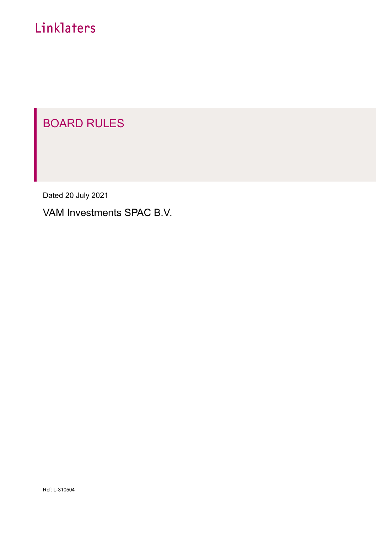# Linklaters

# BOARD RULES

Dated 20 July 2021

VAM Investments SPAC B.V.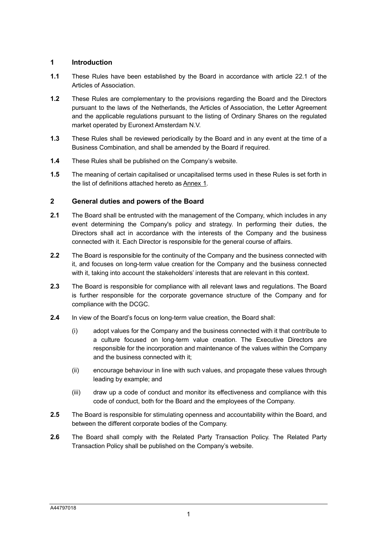#### **1 Introduction**

- **1.1** These Rules have been established by the Board in accordance with article 22.1 of the Articles of Association.
- **1.2** These Rules are complementary to the provisions regarding the Board and the Directors pursuant to the laws of the Netherlands, the Articles of Association, the Letter Agreement and the applicable regulations pursuant to the listing of Ordinary Shares on the regulated market operated by Euronext Amsterdam N.V.
- **1.3** These Rules shall be reviewed periodically by the Board and in any event at the time of a Business Combination, and shall be amended by the Board if required.
- **1.4** These Rules shall be published on the Company's website.
- **1.5** The meaning of certain capitalised or uncapitalised terms used in these Rules is set forth in the list of definitions attached hereto as Annex 1.

### **2 General duties and powers of the Board**

- **2.1** The Board shall be entrusted with the management of the Company, which includes in any event determining the Company's policy and strategy. In performing their duties, the Directors shall act in accordance with the interests of the Company and the business connected with it. Each Director is responsible for the general course of affairs.
- **2.2** The Board is responsible for the continuity of the Company and the business connected with it, and focuses on long-term value creation for the Company and the business connected with it, taking into account the stakeholders' interests that are relevant in this context.
- **2.3** The Board is responsible for compliance with all relevant laws and regulations. The Board is further responsible for the corporate governance structure of the Company and for compliance with the DCGC.
- **2.4** In view of the Board's focus on long-term value creation, the Board shall:
	- (i) adopt values for the Company and the business connected with it that contribute to a culture focused on long-term value creation. The Executive Directors are responsible for the incorporation and maintenance of the values within the Company and the business connected with it;
	- (ii) encourage behaviour in line with such values, and propagate these values through leading by example; and
	- (iii) draw up a code of conduct and monitor its effectiveness and compliance with this code of conduct, both for the Board and the employees of the Company.
- **2.5** The Board is responsible for stimulating openness and accountability within the Board, and between the different corporate bodies of the Company.
- **2.6** The Board shall comply with the Related Party Transaction Policy. The Related Party Transaction Policy shall be published on the Company's website.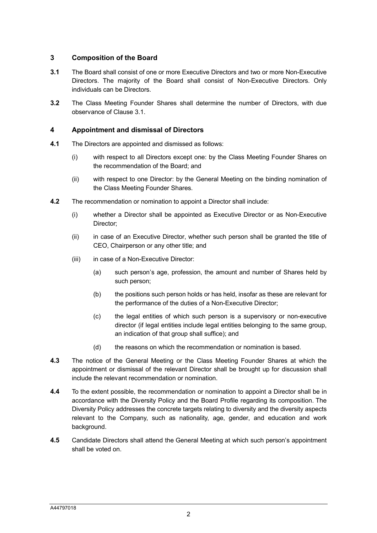### <span id="page-2-1"></span>**3 Composition of the Board**

- <span id="page-2-0"></span>**3.1** The Board shall consist of one or more Executive Directors and two or more Non-Executive Directors. The majority of the Board shall consist of Non-Executive Directors. Only individuals can be Directors.
- **3.2** The Class Meeting Founder Shares shall determine the number of Directors, with due observance of Clause [3.1.](#page-2-0)

#### **4 Appointment and dismissal of Directors**

- **4.1** The Directors are appointed and dismissed as follows:
	- (i) with respect to all Directors except one: by the Class Meeting Founder Shares on the recommendation of the Board; and
	- (ii) with respect to one Director: by the General Meeting on the binding nomination of the Class Meeting Founder Shares.
- **4.2** The recommendation or nomination to appoint a Director shall include:
	- (i) whether a Director shall be appointed as Executive Director or as Non-Executive Director:
	- (ii) in case of an Executive Director, whether such person shall be granted the title of CEO, Chairperson or any other title; and
	- (iii) in case of a Non-Executive Director:
		- (a) such person's age, profession, the amount and number of Shares held by such person;
		- (b) the positions such person holds or has held, insofar as these are relevant for the performance of the duties of a Non-Executive Director;
		- (c) the legal entities of which such person is a supervisory or non-executive director (if legal entities include legal entities belonging to the same group, an indication of that group shall suffice); and
		- (d) the reasons on which the recommendation or nomination is based.
- **4.3** The notice of the General Meeting or the Class Meeting Founder Shares at which the appointment or dismissal of the relevant Director shall be brought up for discussion shall include the relevant recommendation or nomination.
- **4.4** To the extent possible, the recommendation or nomination to appoint a Director shall be in accordance with the Diversity Policy and the Board Profile regarding its composition. The Diversity Policy addresses the concrete targets relating to diversity and the diversity aspects relevant to the Company, such as nationality, age, gender, and education and work background.
- **4.5** Candidate Directors shall attend the General Meeting at which such person's appointment shall be voted on.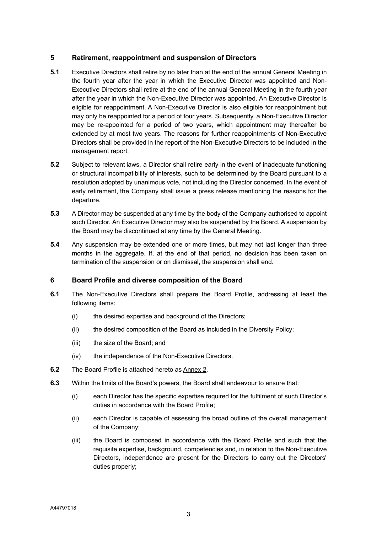#### **5 Retirement, reappointment and suspension of Directors**

- **5.1** Executive Directors shall retire by no later than at the end of the annual General Meeting in the fourth year after the year in which the Executive Director was appointed and Non-Executive Directors shall retire at the end of the annual General Meeting in the fourth year after the year in which the Non-Executive Director was appointed. An Executive Director is eligible for reappointment. A Non-Executive Director is also eligible for reappointment but may only be reappointed for a period of four years. Subsequently, a Non-Executive Director may be re-appointed for a period of two years, which appointment may thereafter be extended by at most two years. The reasons for further reappointments of Non-Executive Directors shall be provided in the report of the Non-Executive Directors to be included in the management report.
- **5.2** Subject to relevant laws, a Director shall retire early in the event of inadequate functioning or structural incompatibility of interests, such to be determined by the Board pursuant to a resolution adopted by unanimous vote, not including the Director concerned. In the event of early retirement, the Company shall issue a press release mentioning the reasons for the departure.
- **5.3** A Director may be suspended at any time by the body of the Company authorised to appoint such Director. An Executive Director may also be suspended by the Board. A suspension by the Board may be discontinued at any time by the General Meeting.
- **5.4** Any suspension may be extended one or more times, but may not last longer than three months in the aggregate. If, at the end of that period, no decision has been taken on termination of the suspension or on dismissal, the suspension shall end.

#### **6 Board Profile and diverse composition of the Board**

- **6.1** The Non-Executive Directors shall prepare the Board Profile, addressing at least the following items:
	- (i) the desired expertise and background of the Directors;
	- (ii) the desired composition of the Board as included in the Diversity Policy;
	- (iii) the size of the Board; and
	- (iv) the independence of the Non-Executive Directors.
- **6.2** The Board Profile is attached hereto as Annex 2.
- **6.3** Within the limits of the Board's powers, the Board shall endeavour to ensure that:
	- (i) each Director has the specific expertise required for the fulfilment of such Director's duties in accordance with the Board Profile;
	- (ii) each Director is capable of assessing the broad outline of the overall management of the Company;
	- (iii) the Board is composed in accordance with the Board Profile and such that the requisite expertise, background, competencies and, in relation to the Non-Executive Directors, independence are present for the Directors to carry out the Directors' duties properly;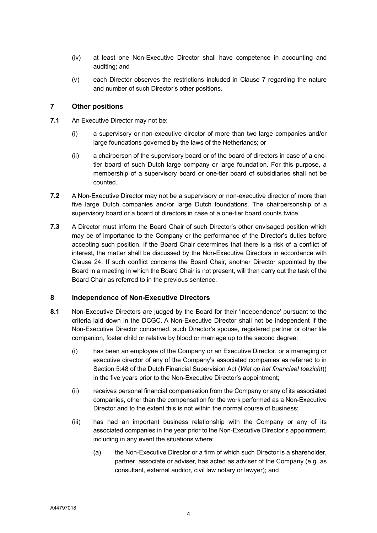- (iv) at least one Non-Executive Director shall have competence in accounting and auditing; and
- (v) each Director observes the restrictions included in Clause [7](#page-4-0) regarding the nature and number of such Director's other positions.

#### <span id="page-4-0"></span>**7 Other positions**

- **7.1** An Executive Director may not be:
	- (i) a supervisory or non-executive director of more than two large companies and/or large foundations governed by the laws of the Netherlands; or
	- (ii) a chairperson of the supervisory board or of the board of directors in case of a onetier board of such Dutch large company or large foundation. For this purpose, a membership of a supervisory board or one-tier board of subsidiaries shall not be counted.
- **7.2** A Non-Executive Director may not be a supervisory or non-executive director of more than five large Dutch companies and/or large Dutch foundations. The chairpersonship of a supervisory board or a board of directors in case of a one-tier board counts twice.
- **7.3** A Director must inform the Board Chair of such Director's other envisaged position which may be of importance to the Company or the performance of the Director's duties before accepting such position. If the Board Chair determines that there is a risk of a conflict of interest, the matter shall be discussed by the Non-Executive Directors in accordance with Clause [24.](#page-15-0) If such conflict concerns the Board Chair, another Director appointed by the Board in a meeting in which the Board Chair is not present, will then carry out the task of the Board Chair as referred to in the previous sentence.

#### <span id="page-4-1"></span>**8 Independence of Non-Executive Directors**

- **8.1** Non-Executive Directors are judged by the Board for their 'independence' pursuant to the criteria laid down in the DCGC. A Non-Executive Director shall not be independent if the Non-Executive Director concerned, such Director's spouse, registered partner or other life companion, foster child or relative by blood or marriage up to the second degree:
	- (i) has been an employee of the Company or an Executive Director, or a managing or executive director of any of the Company's associated companies as referred to in Section 5:48 of the Dutch Financial Supervision Act (*Wet op het financieel toezicht*)) in the five years prior to the Non-Executive Director's appointment;
	- (ii) receives personal financial compensation from the Company or any of its associated companies, other than the compensation for the work performed as a Non-Executive Director and to the extent this is not within the normal course of business;
	- (iii) has had an important business relationship with the Company or any of its associated companies in the year prior to the Non-Executive Director's appointment, including in any event the situations where:
		- (a) the Non-Executive Director or a firm of which such Director is a shareholder, partner, associate or adviser, has acted as adviser of the Company (e.g. as consultant, external auditor, civil law notary or lawyer); and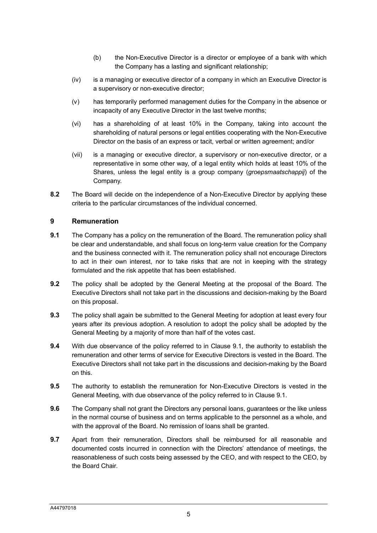- (b) the Non-Executive Director is a director or employee of a bank with which the Company has a lasting and significant relationship;
- (iv) is a managing or executive director of a company in which an Executive Director is a supervisory or non-executive director;
- (v) has temporarily performed management duties for the Company in the absence or incapacity of any Executive Director in the last twelve months;
- (vi) has a shareholding of at least 10% in the Company, taking into account the shareholding of natural persons or legal entities cooperating with the Non-Executive Director on the basis of an express or tacit, verbal or written agreement; and/or
- (vii) is a managing or executive director, a supervisory or non-executive director, or a representative in some other way, of a legal entity which holds at least 10% of the Shares, unless the legal entity is a group company (*groepsmaatschappij*) of the Company.
- **8.2** The Board will decide on the independence of a Non-Executive Director by applying these criteria to the particular circumstances of the individual concerned.

#### **9 Remuneration**

- <span id="page-5-0"></span>**9.1** The Company has a policy on the remuneration of the Board. The remuneration policy shall be clear and understandable, and shall focus on long-term value creation for the Company and the business connected with it. The remuneration policy shall not encourage Directors to act in their own interest, nor to take risks that are not in keeping with the strategy formulated and the risk appetite that has been established.
- **9.2** The policy shall be adopted by the General Meeting at the proposal of the Board. The Executive Directors shall not take part in the discussions and decision-making by the Board on this proposal.
- **9.3** The policy shall again be submitted to the General Meeting for adoption at least every four years after its previous adoption. A resolution to adopt the policy shall be adopted by the General Meeting by a majority of more than half of the votes cast.
- **9.4** With due observance of the policy referred to in Clause [9.1,](#page-5-0) the authority to establish the remuneration and other terms of service for Executive Directors is vested in the Board. The Executive Directors shall not take part in the discussions and decision-making by the Board on this.
- **9.5** The authority to establish the remuneration for Non-Executive Directors is vested in the General Meeting, with due observance of the policy referred to in Clause [9.1.](#page-5-0)
- **9.6** The Company shall not grant the Directors any personal loans, guarantees or the like unless in the normal course of business and on terms applicable to the personnel as a whole, and with the approval of the Board. No remission of loans shall be granted.
- **9.7** Apart from their remuneration, Directors shall be reimbursed for all reasonable and documented costs incurred in connection with the Directors' attendance of meetings, the reasonableness of such costs being assessed by the CEO, and with respect to the CEO, by the Board Chair.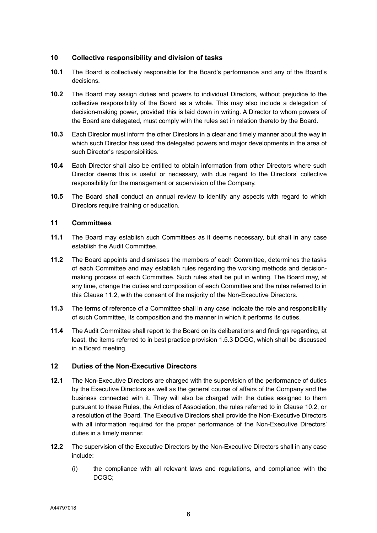### **10 Collective responsibility and division of tasks**

- **10.1** The Board is collectively responsible for the Board's performance and any of the Board's decisions.
- <span id="page-6-0"></span>**10.2** The Board may assign duties and powers to individual Directors, without prejudice to the collective responsibility of the Board as a whole. This may also include a delegation of decision-making power, provided this is laid down in writing. A Director to whom powers of the Board are delegated, must comply with the rules set in relation thereto by the Board.
- **10.3** Each Director must inform the other Directors in a clear and timely manner about the way in which such Director has used the delegated powers and major developments in the area of such Director's responsibilities.
- **10.4** Each Director shall also be entitled to obtain information from other Directors where such Director deems this is useful or necessary, with due regard to the Directors' collective responsibility for the management or supervision of the Company.
- **10.5** The Board shall conduct an annual review to identify any aspects with regard to which Directors require training or education.

#### **11 Committees**

- **11.1** The Board may establish such Committees as it deems necessary, but shall in any case establish the Audit Committee.
- <span id="page-6-1"></span>**11.2** The Board appoints and dismisses the members of each Committee, determines the tasks of each Committee and may establish rules regarding the working methods and decisionmaking process of each Committee. Such rules shall be put in writing. The Board may, at any time, change the duties and composition of each Committee and the rules referred to in this Clause [11.2,](#page-6-1) with the consent of the majority of the Non-Executive Directors.
- **11.3** The terms of reference of a Committee shall in any case indicate the role and responsibility of such Committee, its composition and the manner in which it performs its duties.
- **11.4** The Audit Committee shall report to the Board on its deliberations and findings regarding, at least, the items referred to in best practice provision 1.5.3 DCGC, which shall be discussed in a Board meeting.

#### **12 Duties of the Non-Executive Directors**

- **12.1** The Non-Executive Directors are charged with the supervision of the performance of duties by the Executive Directors as well as the general course of affairs of the Company and the business connected with it. They will also be charged with the duties assigned to them pursuant to these Rules, the Articles of Association, the rules referred to in Clause [10.2,](#page-6-0) or a resolution of the Board. The Executive Directors shall provide the Non-Executive Directors with all information required for the proper performance of the Non-Executive Directors' duties in a timely manner.
- **12.2** The supervision of the Executive Directors by the Non-Executive Directors shall in any case include:
	- (i) the compliance with all relevant laws and regulations, and compliance with the DCGC;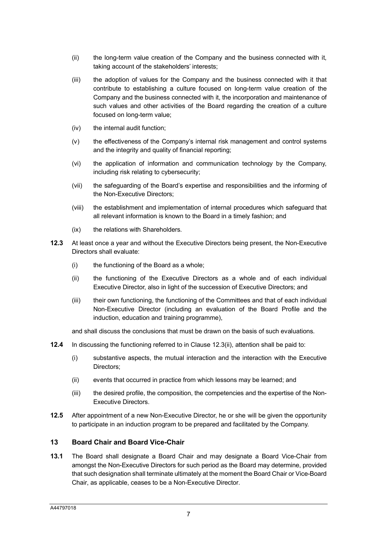- (ii) the long-term value creation of the Company and the business connected with it, taking account of the stakeholders' interests;
- (iii) the adoption of values for the Company and the business connected with it that contribute to establishing a culture focused on long-term value creation of the Company and the business connected with it, the incorporation and maintenance of such values and other activities of the Board regarding the creation of a culture focused on long-term value;
- (iv) the internal audit function;
- (v) the effectiveness of the Company's internal risk management and control systems and the integrity and quality of financial reporting;
- (vi) the application of information and communication technology by the Company, including risk relating to cybersecurity;
- (vii) the safeguarding of the Board's expertise and responsibilities and the informing of the Non-Executive Directors;
- (viii) the establishment and implementation of internal procedures which safeguard that all relevant information is known to the Board in a timely fashion; and
- (ix) the relations with Shareholders.
- <span id="page-7-0"></span>**12.3** At least once a year and without the Executive Directors being present, the Non-Executive Directors shall evaluate:
	- (i) the functioning of the Board as a whole;
	- (ii) the functioning of the Executive Directors as a whole and of each individual Executive Director, also in light of the succession of Executive Directors; and
	- (iii) their own functioning, the functioning of the Committees and that of each individual Non-Executive Director (including an evaluation of the Board Profile and the induction, education and training programme),

and shall discuss the conclusions that must be drawn on the basis of such evaluations.

- **12.4** In discussing the functioning referred to in Clause [12.3\(ii\),](#page-7-0) attention shall be paid to:
	- (i) substantive aspects, the mutual interaction and the interaction with the Executive Directors;
	- (ii) events that occurred in practice from which lessons may be learned; and
	- (iii) the desired profile, the composition, the competencies and the expertise of the Non-Executive Directors.
- **12.5** After appointment of a new Non-Executive Director, he or she will be given the opportunity to participate in an induction program to be prepared and facilitated by the Company.

#### **13 Board Chair and Board Vice-Chair**

**13.1** The Board shall designate a Board Chair and may designate a Board Vice-Chair from amongst the Non-Executive Directors for such period as the Board may determine, provided that such designation shall terminate ultimately at the moment the Board Chair or Vice-Board Chair, as applicable, ceases to be a Non-Executive Director.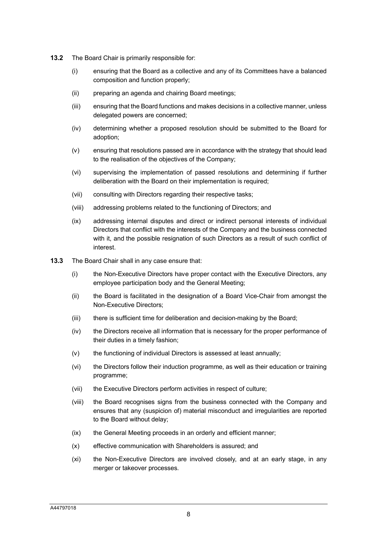- **13.2** The Board Chair is primarily responsible for:
	- (i) ensuring that the Board as a collective and any of its Committees have a balanced composition and function properly;
	- (ii) preparing an agenda and chairing Board meetings;
	- (iii) ensuring that the Board functions and makes decisions in a collective manner, unless delegated powers are concerned;
	- (iv) determining whether a proposed resolution should be submitted to the Board for adoption;
	- (v) ensuring that resolutions passed are in accordance with the strategy that should lead to the realisation of the objectives of the Company;
	- (vi) supervising the implementation of passed resolutions and determining if further deliberation with the Board on their implementation is required;
	- (vii) consulting with Directors regarding their respective tasks;
	- (viii) addressing problems related to the functioning of Directors; and
	- (ix) addressing internal disputes and direct or indirect personal interests of individual Directors that conflict with the interests of the Company and the business connected with it, and the possible resignation of such Directors as a result of such conflict of interest.
- **13.3** The Board Chair shall in any case ensure that:
	- (i) the Non-Executive Directors have proper contact with the Executive Directors, any employee participation body and the General Meeting;
	- (ii) the Board is facilitated in the designation of a Board Vice-Chair from amongst the Non-Executive Directors;
	- (iii) there is sufficient time for deliberation and decision-making by the Board;
	- (iv) the Directors receive all information that is necessary for the proper performance of their duties in a timely fashion;
	- (v) the functioning of individual Directors is assessed at least annually;
	- (vi) the Directors follow their induction programme, as well as their education or training programme;
	- (vii) the Executive Directors perform activities in respect of culture;
	- (viii) the Board recognises signs from the business connected with the Company and ensures that any (suspicion of) material misconduct and irregularities are reported to the Board without delay;
	- (ix) the General Meeting proceeds in an orderly and efficient manner;
	- (x) effective communication with Shareholders is assured; and
	- (xi) the Non-Executive Directors are involved closely, and at an early stage, in any merger or takeover processes.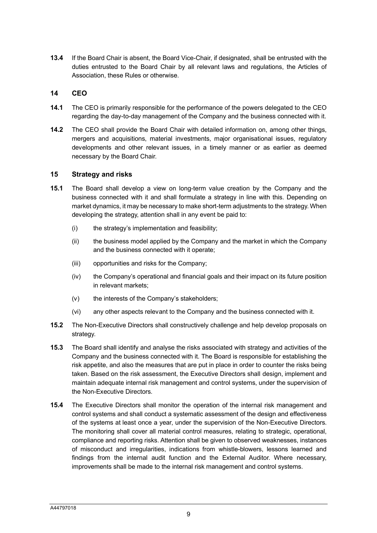**13.4** If the Board Chair is absent, the Board Vice-Chair, if designated, shall be entrusted with the duties entrusted to the Board Chair by all relevant laws and regulations, the Articles of Association, these Rules or otherwise.

#### **14 CEO**

- **14.1** The CEO is primarily responsible for the performance of the powers delegated to the CEO regarding the day-to-day management of the Company and the business connected with it.
- **14.2** The CEO shall provide the Board Chair with detailed information on, among other things, mergers and acquisitions, material investments, major organisational issues, regulatory developments and other relevant issues, in a timely manner or as earlier as deemed necessary by the Board Chair.

#### **15 Strategy and risks**

- **15.1** The Board shall develop a view on long-term value creation by the Company and the business connected with it and shall formulate a strategy in line with this. Depending on market dynamics, it may be necessary to make short-term adjustments to the strategy. When developing the strategy, attention shall in any event be paid to:
	- (i) the strategy's implementation and feasibility;
	- (ii) the business model applied by the Company and the market in which the Company and the business connected with it operate;
	- (iii) opportunities and risks for the Company;
	- (iv) the Company's operational and financial goals and their impact on its future position in relevant markets;
	- (v) the interests of the Company's stakeholders;
	- (vi) any other aspects relevant to the Company and the business connected with it.
- **15.2** The Non-Executive Directors shall constructively challenge and help develop proposals on strategy.
- **15.3** The Board shall identify and analyse the risks associated with strategy and activities of the Company and the business connected with it. The Board is responsible for establishing the risk appetite, and also the measures that are put in place in order to counter the risks being taken. Based on the risk assessment, the Executive Directors shall design, implement and maintain adequate internal risk management and control systems, under the supervision of the Non-Executive Directors.
- **15.4** The Executive Directors shall monitor the operation of the internal risk management and control systems and shall conduct a systematic assessment of the design and effectiveness of the systems at least once a year, under the supervision of the Non-Executive Directors. The monitoring shall cover all material control measures, relating to strategic, operational, compliance and reporting risks. Attention shall be given to observed weaknesses, instances of misconduct and irregularities, indications from whistle-blowers, lessons learned and findings from the internal audit function and the External Auditor. Where necessary, improvements shall be made to the internal risk management and control systems.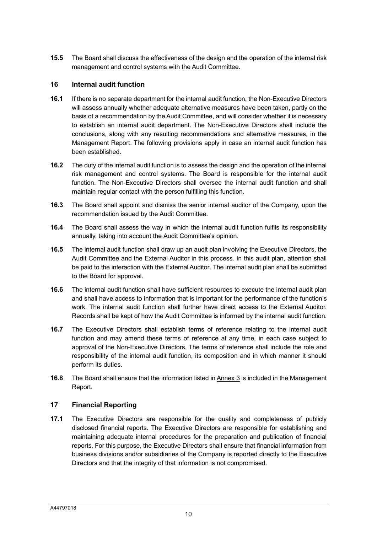**15.5** The Board shall discuss the effectiveness of the design and the operation of the internal risk management and control systems with the Audit Committee.

#### **16 Internal audit function**

- **16.1** If there is no separate department for the internal audit function, the Non-Executive Directors will assess annually whether adequate alternative measures have been taken, partly on the basis of a recommendation by the Audit Committee, and will consider whether it is necessary to establish an internal audit department. The Non-Executive Directors shall include the conclusions, along with any resulting recommendations and alternative measures, in the Management Report. The following provisions apply in case an internal audit function has been established.
- **16.2** The duty of the internal audit function is to assess the design and the operation of the internal risk management and control systems. The Board is responsible for the internal audit function. The Non-Executive Directors shall oversee the internal audit function and shall maintain regular contact with the person fulfilling this function.
- **16.3** The Board shall appoint and dismiss the senior internal auditor of the Company, upon the recommendation issued by the Audit Committee.
- **16.4** The Board shall assess the way in which the internal audit function fulfils its responsibility annually, taking into account the Audit Committee's opinion.
- **16.5** The internal audit function shall draw up an audit plan involving the Executive Directors, the Audit Committee and the External Auditor in this process. In this audit plan, attention shall be paid to the interaction with the External Auditor. The internal audit plan shall be submitted to the Board for approval.
- **16.6** The internal audit function shall have sufficient resources to execute the internal audit plan and shall have access to information that is important for the performance of the function's work. The internal audit function shall further have direct access to the External Auditor. Records shall be kept of how the Audit Committee is informed by the internal audit function.
- **16.7** The Executive Directors shall establish terms of reference relating to the internal audit function and may amend these terms of reference at any time, in each case subject to approval of the Non-Executive Directors. The terms of reference shall include the role and responsibility of the internal audit function, its composition and in which manner it should perform its duties.
- **16.8** The Board shall ensure that the information listed in Annex 3 is included in the Management Report.

#### **17 Financial Reporting**

**17.1** The Executive Directors are responsible for the quality and completeness of publicly disclosed financial reports. The Executive Directors are responsible for establishing and maintaining adequate internal procedures for the preparation and publication of financial reports. For this purpose, the Executive Directors shall ensure that financial information from business divisions and/or subsidiaries of the Company is reported directly to the Executive Directors and that the integrity of that information is not compromised.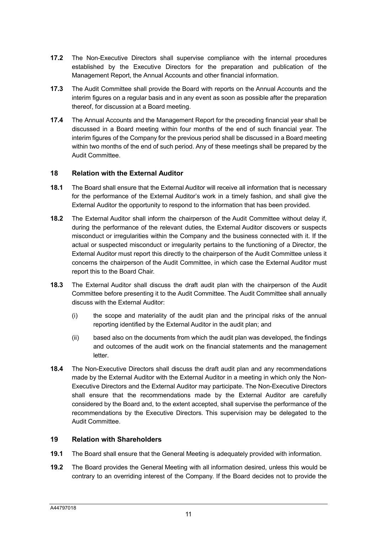- **17.2** The Non-Executive Directors shall supervise compliance with the internal procedures established by the Executive Directors for the preparation and publication of the Management Report, the Annual Accounts and other financial information.
- **17.3** The Audit Committee shall provide the Board with reports on the Annual Accounts and the interim figures on a regular basis and in any event as soon as possible after the preparation thereof, for discussion at a Board meeting.
- **17.4** The Annual Accounts and the Management Report for the preceding financial year shall be discussed in a Board meeting within four months of the end of such financial year. The interim figures of the Company for the previous period shall be discussed in a Board meeting within two months of the end of such period. Any of these meetings shall be prepared by the Audit Committee.

#### **18 Relation with the External Auditor**

- **18.1** The Board shall ensure that the External Auditor will receive all information that is necessary for the performance of the External Auditor's work in a timely fashion, and shall give the External Auditor the opportunity to respond to the information that has been provided.
- **18.2** The External Auditor shall inform the chairperson of the Audit Committee without delay if, during the performance of the relevant duties, the External Auditor discovers or suspects misconduct or irregularities within the Company and the business connected with it. If the actual or suspected misconduct or irregularity pertains to the functioning of a Director, the External Auditor must report this directly to the chairperson of the Audit Committee unless it concerns the chairperson of the Audit Committee, in which case the External Auditor must report this to the Board Chair.
- **18.3** The External Auditor shall discuss the draft audit plan with the chairperson of the Audit Committee before presenting it to the Audit Committee. The Audit Committee shall annually discuss with the External Auditor:
	- (i) the scope and materiality of the audit plan and the principal risks of the annual reporting identified by the External Auditor in the audit plan; and
	- (ii) based also on the documents from which the audit plan was developed, the findings and outcomes of the audit work on the financial statements and the management letter.
- **18.4** The Non-Executive Directors shall discuss the draft audit plan and any recommendations made by the External Auditor with the External Auditor in a meeting in which only the Non-Executive Directors and the External Auditor may participate. The Non-Executive Directors shall ensure that the recommendations made by the External Auditor are carefully considered by the Board and, to the extent accepted, shall supervise the performance of the recommendations by the Executive Directors. This supervision may be delegated to the Audit Committee.

#### **19 Relation with Shareholders**

- **19.1** The Board shall ensure that the General Meeting is adequately provided with information.
- **19.2** The Board provides the General Meeting with all information desired, unless this would be contrary to an overriding interest of the Company. If the Board decides not to provide the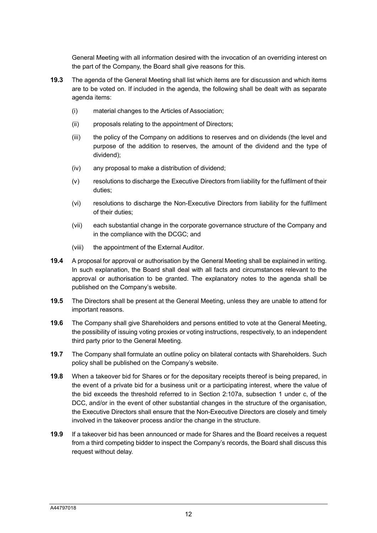General Meeting with all information desired with the invocation of an overriding interest on the part of the Company, the Board shall give reasons for this.

- **19.3** The agenda of the General Meeting shall list which items are for discussion and which items are to be voted on. If included in the agenda, the following shall be dealt with as separate agenda items:
	- (i) material changes to the Articles of Association;
	- (ii) proposals relating to the appointment of Directors;
	- (iii) the policy of the Company on additions to reserves and on dividends (the level and purpose of the addition to reserves, the amount of the dividend and the type of dividend);
	- (iv) any proposal to make a distribution of dividend;
	- (v) resolutions to discharge the Executive Directors from liability for the fulfilment of their duties;
	- (vi) resolutions to discharge the Non-Executive Directors from liability for the fulfilment of their duties;
	- (vii) each substantial change in the corporate governance structure of the Company and in the compliance with the DCGC; and
	- (viii) the appointment of the External Auditor.
- **19.4** A proposal for approval or authorisation by the General Meeting shall be explained in writing. In such explanation, the Board shall deal with all facts and circumstances relevant to the approval or authorisation to be granted. The explanatory notes to the agenda shall be published on the Company's website.
- **19.5** The Directors shall be present at the General Meeting, unless they are unable to attend for important reasons.
- **19.6** The Company shall give Shareholders and persons entitled to vote at the General Meeting, the possibility of issuing voting proxies or voting instructions, respectively, to an independent third party prior to the General Meeting.
- **19.7** The Company shall formulate an outline policy on bilateral contacts with Shareholders. Such policy shall be published on the Company's website.
- **19.8** When a takeover bid for Shares or for the depositary receipts thereof is being prepared, in the event of a private bid for a business unit or a participating interest, where the value of the bid exceeds the threshold referred to in Section 2:107a, subsection 1 under c, of the DCC, and/or in the event of other substantial changes in the structure of the organisation, the Executive Directors shall ensure that the Non-Executive Directors are closely and timely involved in the takeover process and/or the change in the structure.
- **19.9** If a takeover bid has been announced or made for Shares and the Board receives a request from a third competing bidder to inspect the Company's records, the Board shall discuss this request without delay.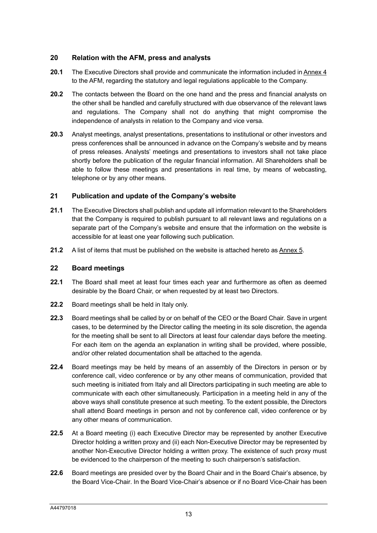### **20 Relation with the AFM, press and analysts**

- **20.1** The Executive Directors shall provide and communicate the information included in Annex 4 to the AFM, regarding the statutory and legal regulations applicable to the Company.
- **20.2** The contacts between the Board on the one hand and the press and financial analysts on the other shall be handled and carefully structured with due observance of the relevant laws and regulations. The Company shall not do anything that might compromise the independence of analysts in relation to the Company and vice versa.
- **20.3** Analyst meetings, analyst presentations, presentations to institutional or other investors and press conferences shall be announced in advance on the Company's website and by means of press releases. Analysts' meetings and presentations to investors shall not take place shortly before the publication of the regular financial information. All Shareholders shall be able to follow these meetings and presentations in real time, by means of webcasting, telephone or by any other means.

### **21 Publication and update of the Company's website**

- **21.1** The Executive Directors shall publish and update all information relevant to the Shareholders that the Company is required to publish pursuant to all relevant laws and regulations on a separate part of the Company's website and ensure that the information on the website is accessible for at least one year following such publication.
- **21.2** A list of items that must be published on the website is attached hereto as Annex 5.

#### **22 Board meetings**

- **22.1** The Board shall meet at least four times each year and furthermore as often as deemed desirable by the Board Chair, or when requested by at least two Directors.
- **22.2** Board meetings shall be held in Italy only.
- **22.3** Board meetings shall be called by or on behalf of the CEO or the Board Chair. Save in urgent cases, to be determined by the Director calling the meeting in its sole discretion, the agenda for the meeting shall be sent to all Directors at least four calendar days before the meeting. For each item on the agenda an explanation in writing shall be provided, where possible, and/or other related documentation shall be attached to the agenda.
- **22.4** Board meetings may be held by means of an assembly of the Directors in person or by conference call, video conference or by any other means of communication, provided that such meeting is initiated from Italy and all Directors participating in such meeting are able to communicate with each other simultaneously. Participation in a meeting held in any of the above ways shall constitute presence at such meeting. To the extent possible, the Directors shall attend Board meetings in person and not by conference call, video conference or by any other means of communication.
- **22.5** At a Board meeting (i) each Executive Director may be represented by another Executive Director holding a written proxy and (ii) each Non-Executive Director may be represented by another Non-Executive Director holding a written proxy. The existence of such proxy must be evidenced to the chairperson of the meeting to such chairperson's satisfaction.
- **22.6** Board meetings are presided over by the Board Chair and in the Board Chair's absence, by the Board Vice-Chair. In the Board Vice-Chair's absence or if no Board Vice-Chair has been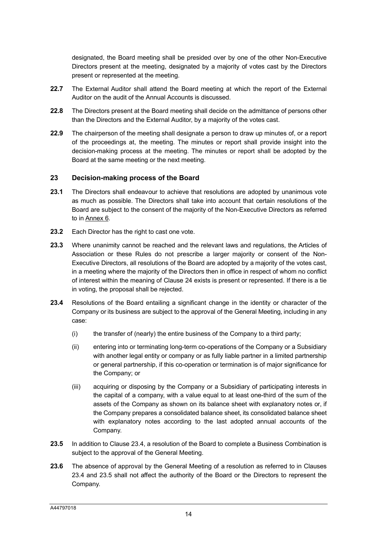designated, the Board meeting shall be presided over by one of the other Non-Executive Directors present at the meeting, designated by a majority of votes cast by the Directors present or represented at the meeting.

- **22.7** The External Auditor shall attend the Board meeting at which the report of the External Auditor on the audit of the Annual Accounts is discussed.
- **22.8** The Directors present at the Board meeting shall decide on the admittance of persons other than the Directors and the External Auditor, by a majority of the votes cast.
- **22.9** The chairperson of the meeting shall designate a person to draw up minutes of, or a report of the proceedings at, the meeting. The minutes or report shall provide insight into the decision-making process at the meeting. The minutes or report shall be adopted by the Board at the same meeting or the next meeting.

#### **23 Decision-making process of the Board**

- **23.1** The Directors shall endeavour to achieve that resolutions are adopted by unanimous vote as much as possible. The Directors shall take into account that certain resolutions of the Board are subject to the consent of the majority of the Non-Executive Directors as referred to in Annex 6.
- **23.2** Each Director has the right to cast one vote.
- **23.3** Where unanimity cannot be reached and the relevant laws and regulations, the Articles of Association or these Rules do not prescribe a larger majority or consent of the Non-Executive Directors, all resolutions of the Board are adopted by a majority of the votes cast, in a meeting where the majority of the Directors then in office in respect of whom no conflict of interest within the meaning of Clause [24](#page-15-0) exists is present or represented. If there is a tie in voting, the proposal shall be rejected.
- <span id="page-14-1"></span>**23.4** Resolutions of the Board entailing a significant change in the identity or character of the Company or its business are subject to the approval of the General Meeting, including in any case:
	- $(i)$  the transfer of (nearly) the entire business of the Company to a third party;
	- (ii) entering into or terminating long-term co-operations of the Company or a Subsidiary with another legal entity or company or as fully liable partner in a limited partnership or general partnership, if this co-operation or termination is of major significance for the Company; or
	- (iii) acquiring or disposing by the Company or a Subsidiary of participating interests in the capital of a company, with a value equal to at least one-third of the sum of the assets of the Company as shown on its balance sheet with explanatory notes or, if the Company prepares a consolidated balance sheet, its consolidated balance sheet with explanatory notes according to the last adopted annual accounts of the Company.
- <span id="page-14-0"></span>**23.5** In addition to Clause [23.4,](#page-14-1) a resolution of the Board to complete a Business Combination is subject to the approval of the General Meeting.
- **23.6** The absence of approval by the General Meeting of a resolution as referred to in Clauses [23.4](#page-14-1) and [23.5](#page-14-0) shall not affect the authority of the Board or the Directors to represent the Company.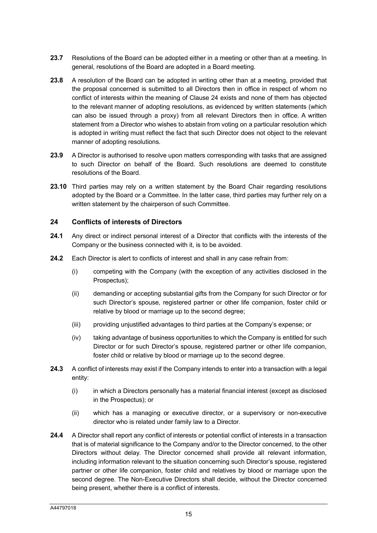- **23.7** Resolutions of the Board can be adopted either in a meeting or other than at a meeting. In general, resolutions of the Board are adopted in a Board meeting.
- **23.8** A resolution of the Board can be adopted in writing other than at a meeting, provided that the proposal concerned is submitted to all Directors then in office in respect of whom no conflict of interests within the meaning of Clause [24](#page-15-0) exists and none of them has objected to the relevant manner of adopting resolutions, as evidenced by written statements (which can also be issued through a proxy) from all relevant Directors then in office. A written statement from a Director who wishes to abstain from voting on a particular resolution which is adopted in writing must reflect the fact that such Director does not object to the relevant manner of adopting resolutions.
- **23.9** A Director is authorised to resolve upon matters corresponding with tasks that are assigned to such Director on behalf of the Board. Such resolutions are deemed to constitute resolutions of the Board.
- **23.10** Third parties may rely on a written statement by the Board Chair regarding resolutions adopted by the Board or a Committee. In the latter case, third parties may further rely on a written statement by the chairperson of such Committee.

#### <span id="page-15-0"></span>**24 Conflicts of interests of Directors**

- **24.1** Any direct or indirect personal interest of a Director that conflicts with the interests of the Company or the business connected with it, is to be avoided.
- **24.2** Each Director is alert to conflicts of interest and shall in any case refrain from:
	- (i) competing with the Company (with the exception of any activities disclosed in the Prospectus);
	- (ii) demanding or accepting substantial gifts from the Company for such Director or for such Director's spouse, registered partner or other life companion, foster child or relative by blood or marriage up to the second degree;
	- (iii) providing unjustified advantages to third parties at the Company's expense; or
	- (iv) taking advantage of business opportunities to which the Company is entitled for such Director or for such Director's spouse, registered partner or other life companion, foster child or relative by blood or marriage up to the second degree.
- **24.3** A conflict of interests may exist if the Company intends to enter into a transaction with a legal entity:
	- (i) in which a Directors personally has a material financial interest (except as disclosed in the Prospectus); or
	- (ii) which has a managing or executive director, or a supervisory or non-executive director who is related under family law to a Director.
- **24.4** A Director shall report any conflict of interests or potential conflict of interests in a transaction that is of material significance to the Company and/or to the Director concerned, to the other Directors without delay. The Director concerned shall provide all relevant information, including information relevant to the situation concerning such Director's spouse, registered partner or other life companion, foster child and relatives by blood or marriage upon the second degree. The Non-Executive Directors shall decide, without the Director concerned being present, whether there is a conflict of interests.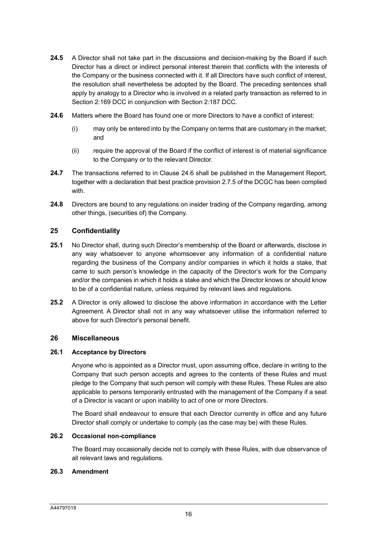- **24.5** A Director shall not take part in the discussions and decision-making by the Board if such Director has a direct or indirect personal interest therein that conflicts with the interests of the Company or the business connected with it. If all Directors have such conflict of interest, the resolution shall nevertheless be adopted by the Board. The preceding sentences shall apply by analogy to a Director who is involved in a related party transaction as referred to in Section 2:169 DCC in conjunction with Section 2:187 DCC.
- <span id="page-16-0"></span>**24.6** Matters where the Board has found one or more Directors to have a conflict of interest:
	- (i) may only be entered into by the Company on terms that are customary in the market; and
	- (ii) require the approval of the Board if the conflict of interest is of material significance to the Company or to the relevant Director.
- **24.7** The transactions referred to in Clause [24.6](#page-16-0) shall be published in the Management Report, together with a declaration that best practice provision 2.7.5 of the DCGC has been complied with.
- **24.8** Directors are bound to any regulations on insider trading of the Company regarding, among other things, (securities of) the Company.

#### **25 Confidentiality**

- **25.1** No Director shall, during such Director's membership of the Board or afterwards, disclose in any way whatsoever to anyone whomsoever any information of a confidential nature regarding the business of the Company and/or companies in which it holds a stake, that came to such person's knowledge in the capacity of the Director's work for the Company and/or the companies in which it holds a stake and which the Director knows or should know to be of a confidential nature, unless required by relevant laws and regulations.
- **25.2** A Director is only allowed to disclose the above information in accordance with the Letter Agreement. A Director shall not in any way whatsoever utilise the information referred to above for such Director's personal benefit.

#### **26 Miscellaneous**

#### **26.1 Acceptance by Directors**

Anyone who is appointed as a Director must, upon assuming office, declare in writing to the Company that such person accepts and agrees to the contents of these Rules and must pledge to the Company that such person will comply with these Rules. These Rules are also applicable to persons temporarily entrusted with the management of the Company if a seat of a Director is vacant or upon inability to act of one or more Directors.

The Board shall endeavour to ensure that each Director currently in office and any future Director shall comply or undertake to comply (as the case may be) with these Rules.

#### **26.2 Occasional non-compliance**

The Board may occasionally decide not to comply with these Rules, with due observance of all relevant laws and regulations.

#### **26.3 Amendment**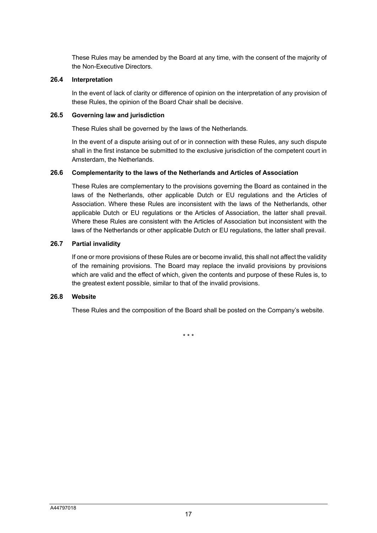These Rules may be amended by the Board at any time, with the consent of the majority of the Non-Executive Directors.

#### **26.4 Interpretation**

In the event of lack of clarity or difference of opinion on the interpretation of any provision of these Rules, the opinion of the Board Chair shall be decisive.

#### **26.5 Governing law and jurisdiction**

These Rules shall be governed by the laws of the Netherlands.

In the event of a dispute arising out of or in connection with these Rules, any such dispute shall in the first instance be submitted to the exclusive jurisdiction of the competent court in Amsterdam, the Netherlands.

#### **26.6 Complementarity to the laws of the Netherlands and Articles of Association**

These Rules are complementary to the provisions governing the Board as contained in the laws of the Netherlands, other applicable Dutch or EU regulations and the Articles of Association. Where these Rules are inconsistent with the laws of the Netherlands, other applicable Dutch or EU regulations or the Articles of Association, the latter shall prevail. Where these Rules are consistent with the Articles of Association but inconsistent with the laws of the Netherlands or other applicable Dutch or EU regulations, the latter shall prevail.

#### **26.7 Partial invalidity**

If one or more provisions of these Rules are or become invalid, this shall not affect the validity of the remaining provisions. The Board may replace the invalid provisions by provisions which are valid and the effect of which, given the contents and purpose of these Rules is, to the greatest extent possible, similar to that of the invalid provisions.

#### **26.8 Website**

These Rules and the composition of the Board shall be posted on the Company's website.

\* \* \*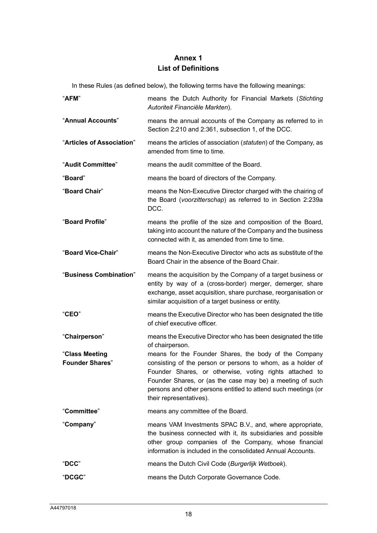# **Annex 1 List of Definitions**

In these Rules (as defined below), the following terms have the following meanings:

| "AFM"                                    | means the Dutch Authority for Financial Markets (Stichting<br>Autoriteit Financiële Markten).                                                                                                                                                                                                                                             |  |
|------------------------------------------|-------------------------------------------------------------------------------------------------------------------------------------------------------------------------------------------------------------------------------------------------------------------------------------------------------------------------------------------|--|
| "Annual Accounts"                        | means the annual accounts of the Company as referred to in<br>Section 2:210 and 2:361, subsection 1, of the DCC.                                                                                                                                                                                                                          |  |
| "Articles of Association"                | means the articles of association (statuten) of the Company, as<br>amended from time to time.                                                                                                                                                                                                                                             |  |
| "Audit Committee"                        | means the audit committee of the Board.                                                                                                                                                                                                                                                                                                   |  |
| "Board"                                  | means the board of directors of the Company.                                                                                                                                                                                                                                                                                              |  |
| "Board Chair"                            | means the Non-Executive Director charged with the chairing of<br>the Board (voorzitterschap) as referred to in Section 2:239a<br>DCC.                                                                                                                                                                                                     |  |
| "Board Profile"                          | means the profile of the size and composition of the Board,<br>taking into account the nature of the Company and the business<br>connected with it, as amended from time to time.                                                                                                                                                         |  |
| "Board Vice-Chair"                       | means the Non-Executive Director who acts as substitute of the<br>Board Chair in the absence of the Board Chair.                                                                                                                                                                                                                          |  |
| "Business Combination"                   | means the acquisition by the Company of a target business or<br>entity by way of a (cross-border) merger, demerger, share<br>exchange, asset acquisition, share purchase, reorganisation or<br>similar acquisition of a target business or entity.                                                                                        |  |
| "CEO"                                    | means the Executive Director who has been designated the title<br>of chief executive officer.                                                                                                                                                                                                                                             |  |
| "Chairperson"                            | means the Executive Director who has been designated the title<br>of chairperson.                                                                                                                                                                                                                                                         |  |
| "Class Meeting<br><b>Founder Shares"</b> | means for the Founder Shares, the body of the Company<br>consisting of the person or persons to whom, as a holder of<br>Founder Shares, or otherwise, voting rights attached to<br>Founder Shares, or (as the case may be) a meeting of such<br>persons and other persons entitled to attend such meetings (or<br>their representatives). |  |
| "Committee"                              | means any committee of the Board.                                                                                                                                                                                                                                                                                                         |  |
| "Company"                                | means VAM Investments SPAC B.V., and, where appropriate,<br>the business connected with it, its subsidiaries and possible<br>other group companies of the Company, whose financial<br>information is included in the consolidated Annual Accounts.                                                                                        |  |
| "DCC"                                    | means the Dutch Civil Code (Burgerlijk Wetboek).                                                                                                                                                                                                                                                                                          |  |
| "DCGC"                                   | means the Dutch Corporate Governance Code.                                                                                                                                                                                                                                                                                                |  |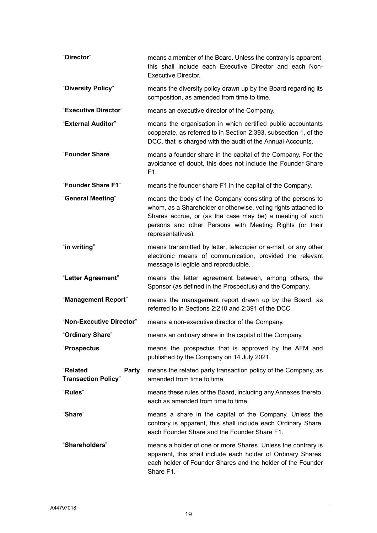| "Director"                                      | means a member of the Board. Unless the contrary is apparent,<br>this shall include each Executive Director and each Non-<br><b>Executive Director.</b>                                                                                                                  |  |
|-------------------------------------------------|--------------------------------------------------------------------------------------------------------------------------------------------------------------------------------------------------------------------------------------------------------------------------|--|
| "Diversity Policy"                              | means the diversity policy drawn up by the Board regarding its<br>composition, as amended from time to time.                                                                                                                                                             |  |
| "Executive Director"                            | means an executive director of the Company.                                                                                                                                                                                                                              |  |
| "External Auditor"                              | means the organisation in which certified public accountants<br>cooperate, as referred to in Section 2:393, subsection 1, of the<br>DCC, that is charged with the audit of the Annual Accounts.                                                                          |  |
| "Founder Share"                                 | means a founder share in the capital of the Company. For the<br>avoidance of doubt, this does not include the Founder Share<br>F1.                                                                                                                                       |  |
| "Founder Share F1"                              | means the founder share F1 in the capital of the Company.                                                                                                                                                                                                                |  |
| "General Meeting"                               | means the body of the Company consisting of the persons to<br>whom, as a Shareholder or otherwise, voting rights attached to<br>Shares accrue, or (as the case may be) a meeting of such<br>persons and other Persons with Meeting Rights (or their<br>representatives). |  |
| "in writing"                                    | means transmitted by letter, telecopier or e-mail, or any other<br>electronic means of communication, provided the relevant<br>message is legible and reproducible.                                                                                                      |  |
| "Letter Agreement"                              | means the letter agreement between, among others, the<br>Sponsor (as defined in the Prospectus) and the Company.                                                                                                                                                         |  |
| "Management Report"                             | means the management report drawn up by the Board, as<br>referred to in Sections 2:210 and 2:391 of the DCC.                                                                                                                                                             |  |
| "Non-Executive Director"                        | means a non-executive director of the Company.                                                                                                                                                                                                                           |  |
| "Ordinary Share"                                | means an ordinary share in the capital of the Company.                                                                                                                                                                                                                   |  |
| "Prospectus"                                    | means the prospectus that is approved by the AFM and<br>published by the Company on 14 July 2021.                                                                                                                                                                        |  |
| "Related<br>Party<br><b>Transaction Policy"</b> | means the related party transaction policy of the Company, as<br>amended from time to time.                                                                                                                                                                              |  |
| "Rules"                                         | means these rules of the Board, including any Annexes thereto,<br>each as amended from time to time.                                                                                                                                                                     |  |
| "Share"                                         | means a share in the capital of the Company. Unless the<br>contrary is apparent, this shall include each Ordinary Share,<br>each Founder Share and the Founder Share F1.                                                                                                 |  |
| "Shareholders"                                  | means a holder of one or more Shares. Unless the contrary is<br>apparent, this shall include each holder of Ordinary Shares,<br>each holder of Founder Shares and the holder of the Founder<br>Share F1.                                                                 |  |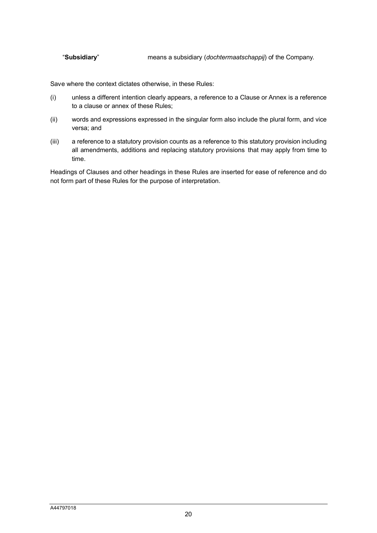"**Subsidiary**" means a subsidiary (*dochtermaatschappij*) of the Company.

Save where the context dictates otherwise, in these Rules:

- (i) unless a different intention clearly appears, a reference to a Clause or Annex is a reference to a clause or annex of these Rules;
- (ii) words and expressions expressed in the singular form also include the plural form, and vice versa; and
- (iii) a reference to a statutory provision counts as a reference to this statutory provision including all amendments, additions and replacing statutory provisions that may apply from time to time.

Headings of Clauses and other headings in these Rules are inserted for ease of reference and do not form part of these Rules for the purpose of interpretation.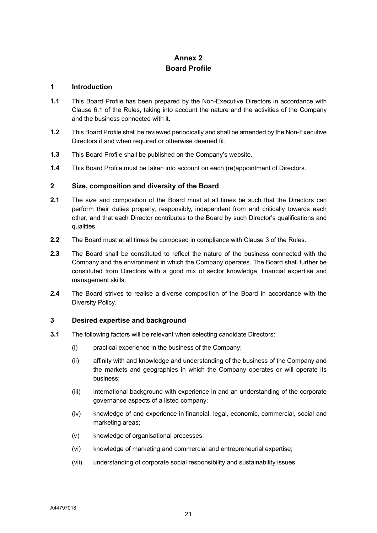# **Annex 2 Board Profile**

#### **1 Introduction**

- **1.1** This Board Profile has been prepared by the Non-Executive Directors in accordance with Clause 6.1 of the Rules, taking into account the nature and the activities of the Company and the business connected with it.
- **1.2** This Board Profile shall be reviewed periodically and shall be amended by the Non-Executive Directors if and when required or otherwise deemed fit.
- **1.3** This Board Profile shall be published on the Company's website.
- **1.4** This Board Profile must be taken into account on each (re)appointment of Directors.

#### **2 Size, composition and diversity of the Board**

- **2.1** The size and composition of the Board must at all times be such that the Directors can perform their duties properly, responsibly, independent from and critically towards each other, and that each Director contributes to the Board by such Director's qualifications and qualities.
- **2.2** The Board must at all times be composed in compliance with Clause [3](#page-2-1) of the Rules.
- **2.3** The Board shall be constituted to reflect the nature of the business connected with the Company and the environment in which the Company operates. The Board shall further be constituted from Directors with a good mix of sector knowledge, financial expertise and management skills.
- **2.4** The Board strives to realise a diverse composition of the Board in accordance with the Diversity Policy.

#### **3 Desired expertise and background**

- **3.1** The following factors will be relevant when selecting candidate Directors:
	- (i) practical experience in the business of the Company;
	- (ii) affinity with and knowledge and understanding of the business of the Company and the markets and geographies in which the Company operates or will operate its business;
	- (iii) international background with experience in and an understanding of the corporate governance aspects of a listed company;
	- (iv) knowledge of and experience in financial, legal, economic, commercial, social and marketing areas;
	- (v) knowledge of organisational processes;
	- (vi) knowledge of marketing and commercial and entrepreneurial expertise;
	- (vii) understanding of corporate social responsibility and sustainability issues;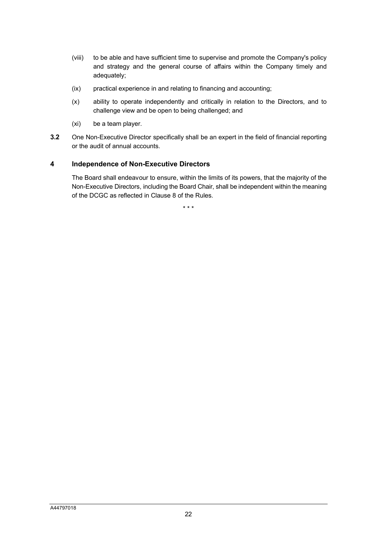- (viii) to be able and have sufficient time to supervise and promote the Company's policy and strategy and the general course of affairs within the Company timely and adequately;
- (ix) practical experience in and relating to financing and accounting;
- (x) ability to operate independently and critically in relation to the Directors, and to challenge view and be open to being challenged; and
- (xi) be a team player.
- **3.2** One Non-Executive Director specifically shall be an expert in the field of financial reporting or the audit of annual accounts.

#### **4 Independence of Non-Executive Directors**

The Board shall endeavour to ensure, within the limits of its powers, that the majority of the Non-Executive Directors, including the Board Chair, shall be independent within the meaning of the DCGC as reflected in Clause [8](#page-4-1) of the Rules.

\* \* \*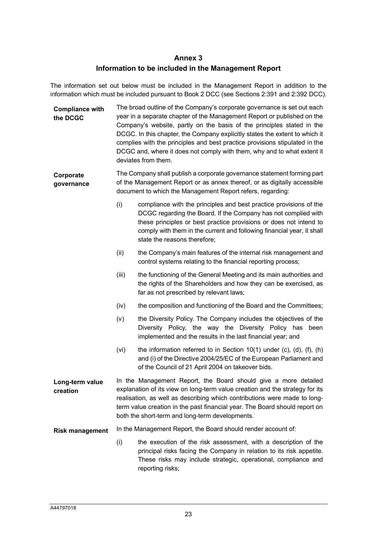## **Annex 3 Information to be included in the Management Report**

The information set out below must be included in the Management Report in addition to the information which must be included pursuant to Book 2 DCC (see Sections 2:391 and 2:392 DCC).

- **Compliance with the DCGC** The broad outline of the Company's corporate governance is set out each year in a separate chapter of the Management Report or published on the Company's website, partly on the basis of the principles stated in the DCGC. In this chapter, the Company explicitly states the extent to which it complies with the principles and best practice provisions stipulated in the DCGC and, where it does not comply with them, why and to what extent it deviates from them.
- **Corporate governance** The Company shall publish a corporate governance statement forming part of the Management Report or as annex thereof, or as digitally accessible document to which the Management Report refers, regarding:
	- (i) compliance with the principles and best practice provisions of the DCGC regarding the Board. If the Company has not complied with these principles or best practice provisions or does not intend to comply with them in the current and following financial year, it shall state the reasons therefore;
	- (ii) the Company's main features of the internal risk management and control systems relating to the financial reporting process;
	- (iii) the functioning of the General Meeting and its main authorities and the rights of the Shareholders and how they can be exercised, as far as not prescribed by relevant laws;
	- (iv) the composition and functioning of the Board and the Committees;
	- (v) the Diversity Policy. The Company includes the objectives of the Diversity Policy, the way the Diversity Policy has been implemented and the results in the last financial year; and
	- (vi) the information referred to in Section 10(1) under  $(c)$ ,  $(d)$ ,  $(f)$ ,  $(h)$ and (i) of the Directive 2004/25/EC of the European Parliament and of the Council of 21 April 2004 on takeover bids.
- **Long-term value creation** In the Management Report, the Board should give a more detailed explanation of its view on long-term value creation and the strategy for its realisation, as well as describing which contributions were made to longterm value creation in the past financial year. The Board should report on both the short-term and long-term developments.
- **Risk management** In the Management Report, the Board should render account of:
	- (i) the execution of the risk assessment, with a description of the principal risks facing the Company in relation to its risk appetite. These risks may include strategic, operational, compliance and reporting risks;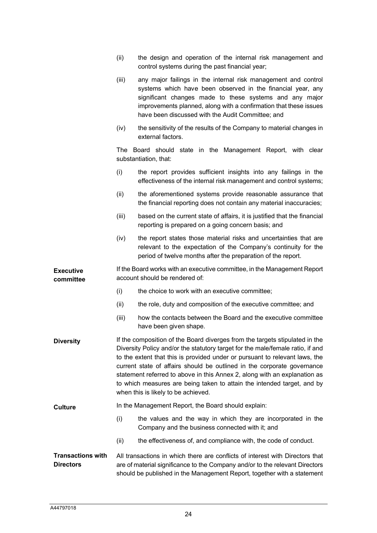|                                              | (ii)                                                                                                                                                                                                                                                                                                                                                                                                                                                                                                                   | the design and operation of the internal risk management and<br>control systems during the past financial year;                                                                                                                                                                                                    |
|----------------------------------------------|------------------------------------------------------------------------------------------------------------------------------------------------------------------------------------------------------------------------------------------------------------------------------------------------------------------------------------------------------------------------------------------------------------------------------------------------------------------------------------------------------------------------|--------------------------------------------------------------------------------------------------------------------------------------------------------------------------------------------------------------------------------------------------------------------------------------------------------------------|
|                                              | (iii)                                                                                                                                                                                                                                                                                                                                                                                                                                                                                                                  | any major failings in the internal risk management and control<br>systems which have been observed in the financial year, any<br>significant changes made to these systems and any major<br>improvements planned, along with a confirmation that these issues<br>have been discussed with the Audit Committee; and |
|                                              | (iv)                                                                                                                                                                                                                                                                                                                                                                                                                                                                                                                   | the sensitivity of the results of the Company to material changes in<br>external factors.                                                                                                                                                                                                                          |
|                                              |                                                                                                                                                                                                                                                                                                                                                                                                                                                                                                                        | The Board should state in the Management Report, with clear<br>substantiation, that:                                                                                                                                                                                                                               |
|                                              | (i)                                                                                                                                                                                                                                                                                                                                                                                                                                                                                                                    | the report provides sufficient insights into any failings in the<br>effectiveness of the internal risk management and control systems;                                                                                                                                                                             |
|                                              | (ii)                                                                                                                                                                                                                                                                                                                                                                                                                                                                                                                   | the aforementioned systems provide reasonable assurance that<br>the financial reporting does not contain any material inaccuracies;                                                                                                                                                                                |
|                                              | (iii)                                                                                                                                                                                                                                                                                                                                                                                                                                                                                                                  | based on the current state of affairs, it is justified that the financial<br>reporting is prepared on a going concern basis; and                                                                                                                                                                                   |
|                                              | (iv)                                                                                                                                                                                                                                                                                                                                                                                                                                                                                                                   | the report states those material risks and uncertainties that are<br>relevant to the expectation of the Company's continuity for the<br>period of twelve months after the preparation of the report.                                                                                                               |
| <b>Executive</b><br>committee                |                                                                                                                                                                                                                                                                                                                                                                                                                                                                                                                        | If the Board works with an executive committee, in the Management Report<br>account should be rendered of:                                                                                                                                                                                                         |
|                                              | (i)                                                                                                                                                                                                                                                                                                                                                                                                                                                                                                                    | the choice to work with an executive committee;                                                                                                                                                                                                                                                                    |
|                                              | (ii)                                                                                                                                                                                                                                                                                                                                                                                                                                                                                                                   | the role, duty and composition of the executive committee; and                                                                                                                                                                                                                                                     |
|                                              | (iii)                                                                                                                                                                                                                                                                                                                                                                                                                                                                                                                  | how the contacts between the Board and the executive committee<br>have been given shape.                                                                                                                                                                                                                           |
| <b>Diversity</b>                             | If the composition of the Board diverges from the targets stipulated in the<br>Diversity Policy and/or the statutory target for the male/female ratio, if and<br>to the extent that this is provided under or pursuant to relevant laws, the<br>current state of affairs should be outlined in the corporate governance<br>statement referred to above in this Annex 2, along with an explanation as<br>to which measures are being taken to attain the intended target, and by<br>when this is likely to be achieved. |                                                                                                                                                                                                                                                                                                                    |
| <b>Culture</b>                               |                                                                                                                                                                                                                                                                                                                                                                                                                                                                                                                        | In the Management Report, the Board should explain:                                                                                                                                                                                                                                                                |
|                                              | (i)                                                                                                                                                                                                                                                                                                                                                                                                                                                                                                                    | the values and the way in which they are incorporated in the<br>Company and the business connected with it; and                                                                                                                                                                                                    |
|                                              | (ii)                                                                                                                                                                                                                                                                                                                                                                                                                                                                                                                   | the effectiveness of, and compliance with, the code of conduct.                                                                                                                                                                                                                                                    |
| <b>Transactions with</b><br><b>Directors</b> | All transactions in which there are conflicts of interest with Directors that<br>are of material significance to the Company and/or to the relevant Directors<br>should be published in the Management Report, together with a statement                                                                                                                                                                                                                                                                               |                                                                                                                                                                                                                                                                                                                    |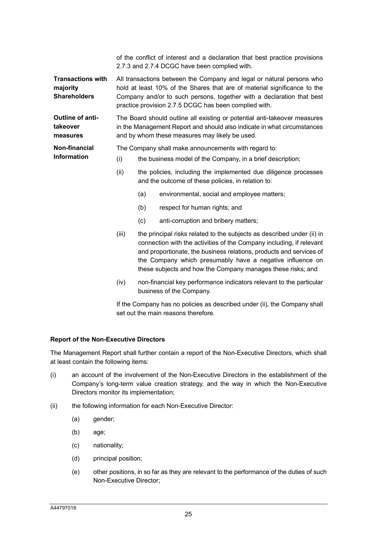of the conflict of interest and a declaration that best practice provisions 2.7.3 and 2.7.4 DCGC have been complied with.

**Transactions with majority Shareholders** All transactions between the Company and legal or natural persons who hold at least 10% of the Shares that are of material significance to the Company and/or to such persons, together with a declaration that best practice provision 2.7.5 DCGC has been complied with.

**Outline of antitakeover measures** The Board should outline all existing or potential anti-takeover measures in the Management Report and should also indicate in what circumstances and by whom these measures may likely be used.

**Non-financial**  The Company shall make announcements with regard to:

- (i) the business model of the Company, in a brief description;
	- (ii) the policies, including the implemented due diligence processes and the outcome of these policies, in relation to:
		- (a) environmental, social and employee matters;
		- (b) respect for human rights; and
		- (c) anti-corruption and bribery matters;
	- (iii) the principal risks related to the subjects as described under (ii) in connection with the activities of the Company including, if relevant and proportionate, the business relations, products and services of the Company which presumably have a negative influence on these subjects and how the Company manages these risks; and
	- (iv) non-financial key performance indicators relevant to the particular business of the Company.

If the Company has no policies as described under (ii), the Company shall set out the main reasons therefore.

#### **Report of the Non-Executive Directors**

**Information**

The Management Report shall further contain a report of the Non-Executive Directors, which shall at least contain the following items:

- (i) an account of the involvement of the Non-Executive Directors in the establishment of the Company's long-term value creation strategy, and the way in which the Non-Executive Directors monitor its implementation;
- (ii) the following information for each Non-Executive Director:
	- (a) gender;
	- (b) age;
	- (c) nationality;
	- (d) principal position;
	- (e) other positions, in so far as they are relevant to the performance of the duties of such Non-Executive Director;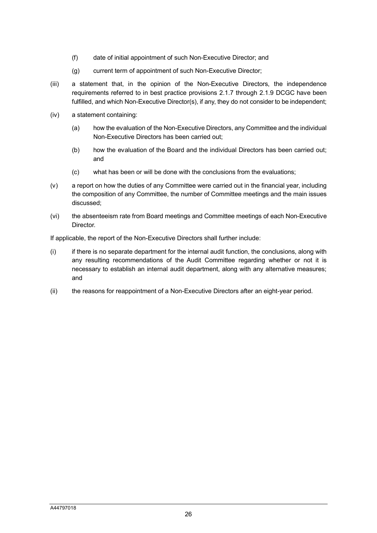- (f) date of initial appointment of such Non-Executive Director; and
- (g) current term of appointment of such Non-Executive Director;
- (iii) a statement that, in the opinion of the Non-Executive Directors, the independence requirements referred to in best practice provisions 2.1.7 through 2.1.9 DCGC have been fulfilled, and which Non-Executive Director(s), if any, they do not consider to be independent;
- (iv) a statement containing:
	- (a) how the evaluation of the Non-Executive Directors, any Committee and the individual Non-Executive Directors has been carried out;
	- (b) how the evaluation of the Board and the individual Directors has been carried out; and
	- (c) what has been or will be done with the conclusions from the evaluations;
- (v) a report on how the duties of any Committee were carried out in the financial year, including the composition of any Committee, the number of Committee meetings and the main issues discussed;
- (vi) the absenteeism rate from Board meetings and Committee meetings of each Non-Executive Director.

If applicable, the report of the Non-Executive Directors shall further include:

- (i) if there is no separate department for the internal audit function, the conclusions, along with any resulting recommendations of the Audit Committee regarding whether or not it is necessary to establish an internal audit department, along with any alternative measures; and
- (ii) the reasons for reappointment of a Non-Executive Directors after an eight-year period.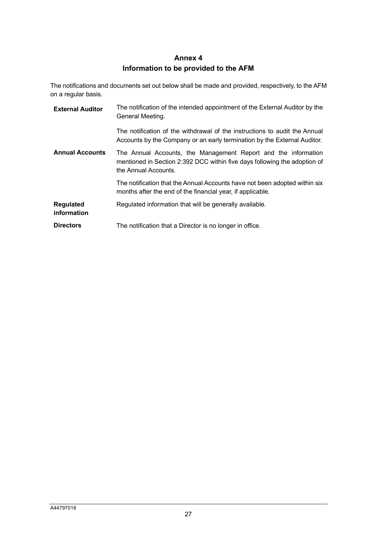# **Annex 4 Information to be provided to the AFM**

The notifications and documents set out below shall be made and provided, respectively, to the AFM on a regular basis.

| <b>External Auditor</b>         | The notification of the intended appointment of the External Auditor by the<br>General Meeting.                                                                     |
|---------------------------------|---------------------------------------------------------------------------------------------------------------------------------------------------------------------|
|                                 | The notification of the withdrawal of the instructions to audit the Annual<br>Accounts by the Company or an early termination by the External Auditor.              |
| <b>Annual Accounts</b>          | The Annual Accounts, the Management Report and the information<br>mentioned in Section 2:392 DCC within five days following the adoption of<br>the Annual Accounts. |
|                                 | The notification that the Annual Accounts have not been adopted within six<br>months after the end of the financial year, if applicable.                            |
| <b>Regulated</b><br>information | Regulated information that will be generally available.                                                                                                             |
| <b>Directors</b>                | The notification that a Director is no longer in office.                                                                                                            |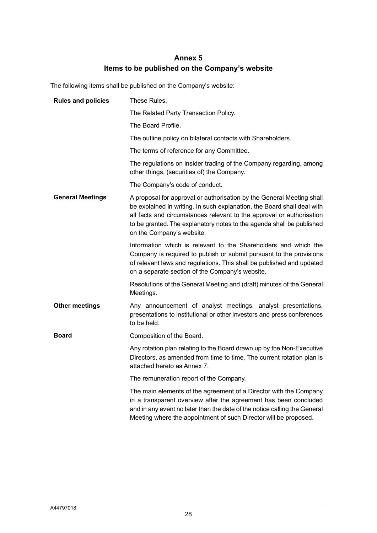# **Annex 5 Items to be published on the Company's website**

The following items shall be published on the Company's website:

| <b>Rules and policies</b> | These Rules.                                                                                                                                                                                                                                                                                                                    |
|---------------------------|---------------------------------------------------------------------------------------------------------------------------------------------------------------------------------------------------------------------------------------------------------------------------------------------------------------------------------|
|                           | The Related Party Transaction Policy.                                                                                                                                                                                                                                                                                           |
|                           | The Board Profile.                                                                                                                                                                                                                                                                                                              |
|                           | The outline policy on bilateral contacts with Shareholders.                                                                                                                                                                                                                                                                     |
|                           | The terms of reference for any Committee.                                                                                                                                                                                                                                                                                       |
|                           | The regulations on insider trading of the Company regarding, among<br>other things, (securities of) the Company.                                                                                                                                                                                                                |
|                           | The Company's code of conduct.                                                                                                                                                                                                                                                                                                  |
| <b>General Meetings</b>   | A proposal for approval or authorisation by the General Meeting shall<br>be explained in writing. In such explanation, the Board shall deal with<br>all facts and circumstances relevant to the approval or authorisation<br>to be granted. The explanatory notes to the agenda shall be published<br>on the Company's website. |
|                           | Information which is relevant to the Shareholders and which the<br>Company is required to publish or submit pursuant to the provisions<br>of relevant laws and regulations. This shall be published and updated<br>on a separate section of the Company's website.                                                              |
|                           | Resolutions of the General Meeting and (draft) minutes of the General<br>Meetings.                                                                                                                                                                                                                                              |
| <b>Other meetings</b>     | Any announcement of analyst meetings, analyst presentations,<br>presentations to institutional or other investors and press conferences<br>to be held.                                                                                                                                                                          |
| <b>Board</b>              | Composition of the Board.                                                                                                                                                                                                                                                                                                       |
|                           | Any rotation plan relating to the Board drawn up by the Non-Executive<br>Directors, as amended from time to time. The current rotation plan is<br>attached hereto as Annex 7.                                                                                                                                                   |
|                           | The remuneration report of the Company.                                                                                                                                                                                                                                                                                         |
|                           | The main elements of the agreement of a Director with the Company<br>in a transparent overview after the agreement has been concluded<br>and in any event no later than the date of the notice calling the General<br>Meeting where the appointment of such Director will be proposed.                                          |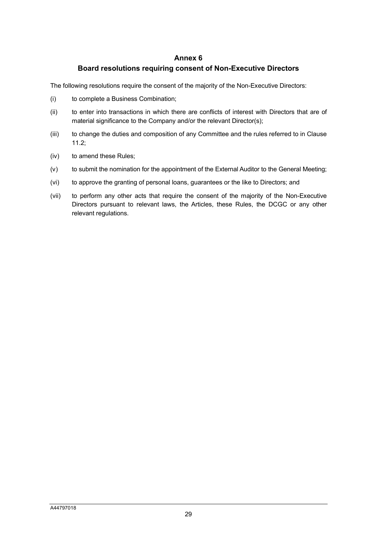#### **Annex 6**

### **Board resolutions requiring consent of Non-Executive Directors**

The following resolutions require the consent of the majority of the Non-Executive Directors:

- (i) to complete a Business Combination;
- (ii) to enter into transactions in which there are conflicts of interest with Directors that are of material significance to the Company and/or the relevant Director(s);
- (iii) to change the duties and composition of any Committee and the rules referred to in Clause [11.2;](#page-6-1)
- (iv) to amend these Rules;
- (v) to submit the nomination for the appointment of the External Auditor to the General Meeting;
- (vi) to approve the granting of personal loans, guarantees or the like to Directors; and
- (vii) to perform any other acts that require the consent of the majority of the Non-Executive Directors pursuant to relevant laws, the Articles, these Rules, the DCGC or any other relevant regulations.